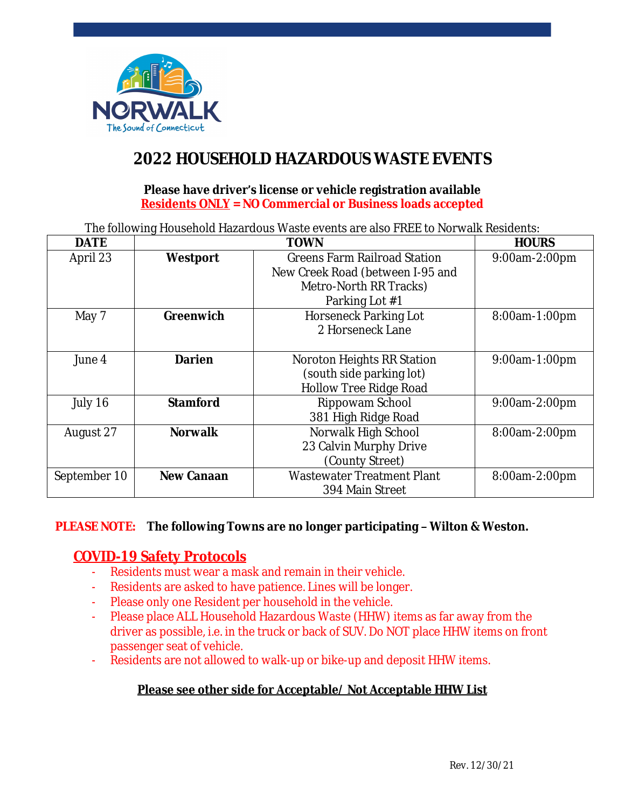

# **2022 HOUSEHOLD HAZARDOUS WASTE EVENTS**

#### **Please have driver's license or vehicle registration available Residents ONLY = NO Commercial or Business loads accepted**

The following Household Hazardous Waste events are also FREE to Norwalk Residents:

| <b>DATE</b>  | <b>TOWN</b>       |                                     | <b>HOURS</b>  |
|--------------|-------------------|-------------------------------------|---------------|
| April 23     | <b>Westport</b>   | <b>Greens Farm Railroad Station</b> | 9:00am-2:00pm |
|              |                   | New Creek Road (between I-95 and    |               |
|              |                   | Metro-North RR Tracks)              |               |
|              |                   | Parking Lot #1                      |               |
| May 7        | <b>Greenwich</b>  | <b>Horseneck Parking Lot</b>        | 8:00am-1:00pm |
|              |                   | 2 Horseneck Lane                    |               |
|              |                   |                                     |               |
| June 4       | <b>Darien</b>     | Noroton Heights RR Station          | 9:00am-1:00pm |
|              |                   | (south side parking lot)            |               |
|              |                   | Hollow Tree Ridge Road              |               |
| July 16      | <b>Stamford</b>   | Rippowam School                     | 9:00am-2:00pm |
|              |                   | 381 High Ridge Road                 |               |
| August 27    | <b>Norwalk</b>    | Norwalk High School                 | 8:00am-2:00pm |
|              |                   | 23 Calvin Murphy Drive              |               |
|              |                   | (County Street)                     |               |
| September 10 | <b>New Canaan</b> | <b>Wastewater Treatment Plant</b>   | 8:00am-2:00pm |
|              |                   | 394 Main Street                     |               |

#### **PLEASE NOTE: The following Towns are no longer participating – Wilton & Weston.**

## **COVID-19 Safety Protocols**

- Residents must wear a mask and remain in their vehicle.
- Residents are asked to have patience. Lines will be longer.
- Please only one Resident per household in the vehicle.
- Please place ALL Household Hazardous Waste (HHW) items as far away from the driver as possible, i.e. in the truck or back of SUV. Do NOT place HHW items on front passenger seat of vehicle.
- Residents are not allowed to walk-up or bike-up and deposit HHW items.

## **Please see other side for Acceptable/ Not Acceptable HHW List**